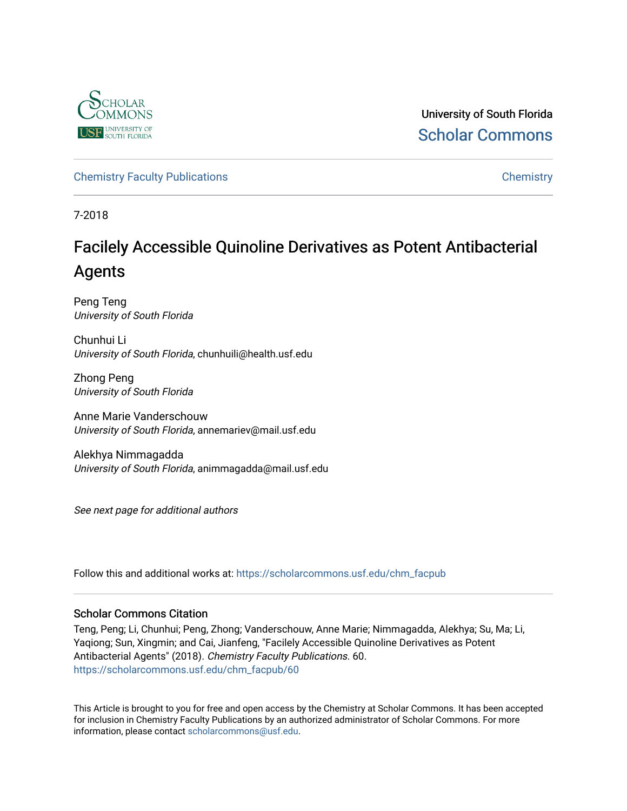

University of South Florida [Scholar Commons](https://scholarcommons.usf.edu/) 

[Chemistry Faculty Publications](https://scholarcommons.usf.edu/chm_facpub) **Chemistry** Chemistry

7-2018

# Facilely Accessible Quinoline Derivatives as Potent Antibacterial Agents

Peng Teng University of South Florida

Chunhui Li University of South Florida, chunhuili@health.usf.edu

Zhong Peng University of South Florida

Anne Marie Vanderschouw University of South Florida, annemariev@mail.usf.edu

Alekhya Nimmagadda University of South Florida, animmagadda@mail.usf.edu

See next page for additional authors

Follow this and additional works at: [https://scholarcommons.usf.edu/chm\\_facpub](https://scholarcommons.usf.edu/chm_facpub?utm_source=scholarcommons.usf.edu%2Fchm_facpub%2F60&utm_medium=PDF&utm_campaign=PDFCoverPages) 

# Scholar Commons Citation

Teng, Peng; Li, Chunhui; Peng, Zhong; Vanderschouw, Anne Marie; Nimmagadda, Alekhya; Su, Ma; Li, Yaqiong; Sun, Xingmin; and Cai, Jianfeng, "Facilely Accessible Quinoline Derivatives as Potent Antibacterial Agents" (2018). Chemistry Faculty Publications. 60. [https://scholarcommons.usf.edu/chm\\_facpub/60](https://scholarcommons.usf.edu/chm_facpub/60?utm_source=scholarcommons.usf.edu%2Fchm_facpub%2F60&utm_medium=PDF&utm_campaign=PDFCoverPages)

This Article is brought to you for free and open access by the Chemistry at Scholar Commons. It has been accepted for inclusion in Chemistry Faculty Publications by an authorized administrator of Scholar Commons. For more information, please contact [scholarcommons@usf.edu](mailto:scholarcommons@usf.edu).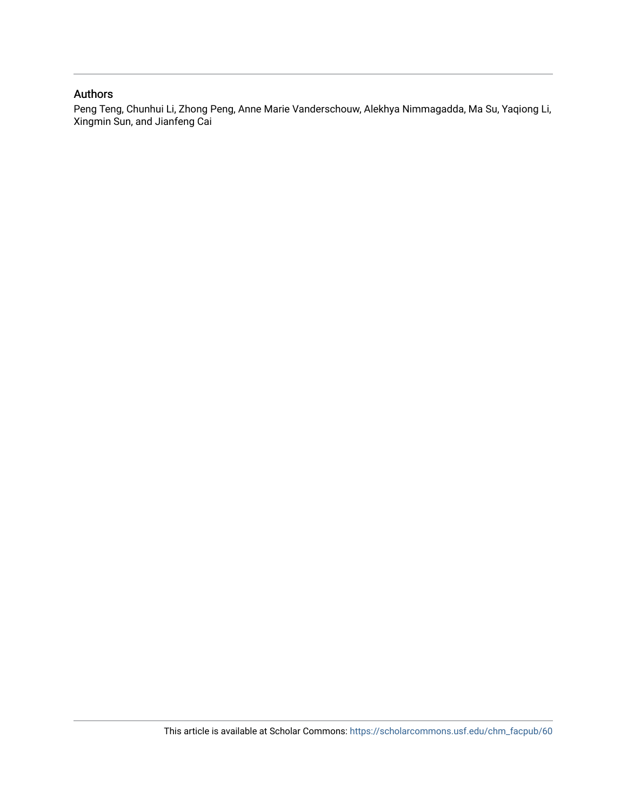# Authors

Peng Teng, Chunhui Li, Zhong Peng, Anne Marie Vanderschouw, Alekhya Nimmagadda, Ma Su, Yaqiong Li, Xingmin Sun, and Jianfeng Cai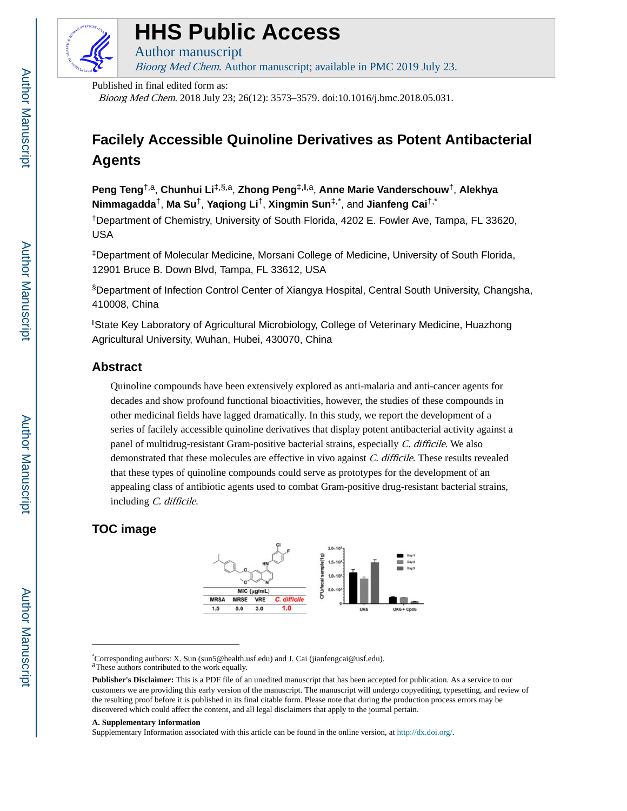

# **HHS Public Access**

Author manuscript Bioorg Med Chem. Author manuscript; available in PMC 2019 July 23.

Published in final edited form as:

Bioorg Med Chem. 2018 July 23; 26(12): 3573–3579. doi:10.1016/j.bmc.2018.05.031.

# **Facilely Accessible Quinoline Derivatives as Potent Antibacterial Agents**

**Peng Teng**†,a, **Chunhui Li**‡,§,a, **Zhong Peng**‡,‖,a, **Anne Marie Vanderschouw**†, **Alekhya Nimmagadda**†, **Ma Su**†, **Yaqiong Li**†, **Xingmin Sun**‡,\*, and **Jianfeng Cai**†,\*

†Department of Chemistry, University of South Florida, 4202 E. Fowler Ave, Tampa, FL 33620, USA

‡Department of Molecular Medicine, Morsani College of Medicine, University of South Florida, 12901 Bruce B. Down Blvd, Tampa, FL 33612, USA

§Department of Infection Control Center of Xiangya Hospital, Central South University, Changsha, 410008, China

‖State Key Laboratory of Agricultural Microbiology, College of Veterinary Medicine, Huazhong Agricultural University, Wuhan, Hubei, 430070, China

# **Abstract**

Quinoline compounds have been extensively explored as anti-malaria and anti-cancer agents for decades and show profound functional bioactivities, however, the studies of these compounds in other medicinal fields have lagged dramatically. In this study, we report the development of a series of facilely accessible quinoline derivatives that display potent antibacterial activity against a panel of multidrug-resistant Gram-positive bacterial strains, especially C. difficile. We also demonstrated that these molecules are effective in vivo against C. difficile. These results revealed that these types of quinoline compounds could serve as prototypes for the development of an appealing class of antibiotic agents used to combat Gram-positive drug-resistant bacterial strains, including C. difficile.

# **TOC image**



\*Corresponding authors: X. Sun (sun5@health.usf.edu) and J. Cai (jianfengcai@usf.edu). aThese authors contributed to the work equally.

#### **A. Supplementary Information**

Supplementary Information associated with this article can be found in the online version, at [http://dx.doi.org/.](http://dx.doi.org/)

**Publisher's Disclaimer:** This is a PDF file of an unedited manuscript that has been accepted for publication. As a service to our customers we are providing this early version of the manuscript. The manuscript will undergo copyediting, typesetting, and review of the resulting proof before it is published in its final citable form. Please note that during the production process errors may be discovered which could affect the content, and all legal disclaimers that apply to the journal pertain.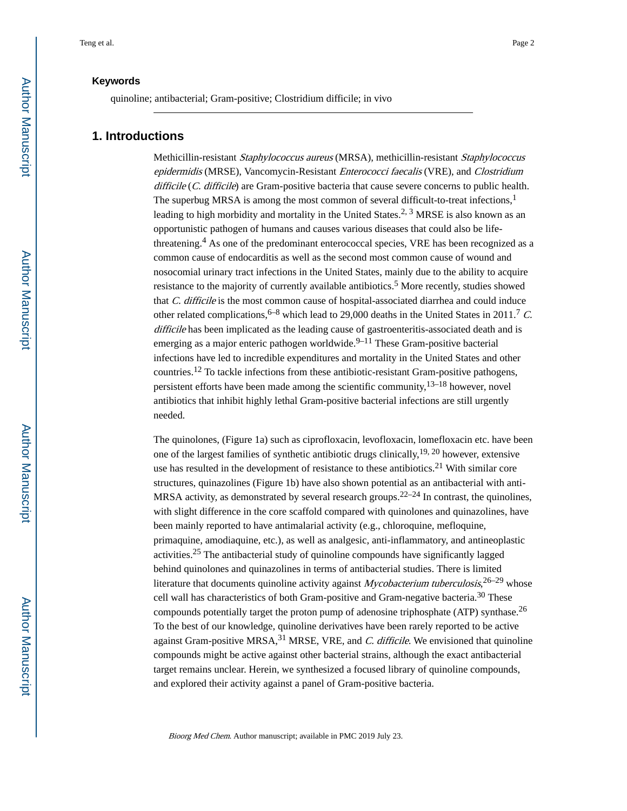quinoline; antibacterial; Gram-positive; Clostridium difficile; in vivo

## **1. Introductions**

Methicillin-resistant Staphylococcus aureus (MRSA), methicillin-resistant Staphylococcus epidermidis (MRSE), Vancomycin-Resistant *Enterococci faecalis* (VRE), and *Clostridium* difficile (C. difficile) are Gram-positive bacteria that cause severe concerns to public health. The superbug MRSA is among the most common of several difficult-to-treat infections,<sup>1</sup> leading to high morbidity and mortality in the United States.<sup>2, 3</sup> MRSE is also known as an opportunistic pathogen of humans and causes various diseases that could also be lifethreatening.<sup>4</sup> As one of the predominant enterococcal species, VRE has been recognized as a common cause of endocarditis as well as the second most common cause of wound and nosocomial urinary tract infections in the United States, mainly due to the ability to acquire resistance to the majority of currently available antibiotics.<sup>5</sup> More recently, studies showed that C. difficile is the most common cause of hospital-associated diarrhea and could induce other related complications,  $6-8$  which lead to 29,000 deaths in the United States in 2011.<sup>7</sup> C. difficile has been implicated as the leading cause of gastroenteritis-associated death and is emerging as a major enteric pathogen worldwide. $9-11$  These Gram-positive bacterial infections have led to incredible expenditures and mortality in the United States and other countries.12 To tackle infections from these antibiotic-resistant Gram-positive pathogens, persistent efforts have been made among the scientific community,  $13-18$  however, novel antibiotics that inhibit highly lethal Gram-positive bacterial infections are still urgently needed.

The quinolones, (Figure 1a) such as ciprofloxacin, levofloxacin, lomefloxacin etc. have been one of the largest families of synthetic antibiotic drugs clinically,  $19, 20$  however, extensive use has resulted in the development of resistance to these antibiotics.<sup>21</sup> With similar core structures, quinazolines (Figure 1b) have also shown potential as an antibacterial with anti-MRSA activity, as demonstrated by several research groups.<sup>22–24</sup> In contrast, the quinolines, with slight difference in the core scaffold compared with quinolones and quinazolines, have been mainly reported to have antimalarial activity (e.g., chloroquine, mefloquine, primaquine, amodiaquine, etc.), as well as analgesic, anti-inflammatory, and antineoplastic activities.25 The antibacterial study of quinoline compounds have significantly lagged behind quinolones and quinazolines in terms of antibacterial studies. There is limited literature that documents quinoline activity against *Mycobacterium tuberculosis*,  $26-29$  whose cell wall has characteristics of both Gram-positive and Gram-negative bacteria.30 These compounds potentially target the proton pump of adenosine triphosphate (ATP) synthase.<sup>26</sup> To the best of our knowledge, quinoline derivatives have been rarely reported to be active against Gram-positive MRSA, $31$  MRSE, VRE, and C. difficile. We envisioned that quinoline compounds might be active against other bacterial strains, although the exact antibacterial target remains unclear. Herein, we synthesized a focused library of quinoline compounds, and explored their activity against a panel of Gram-positive bacteria.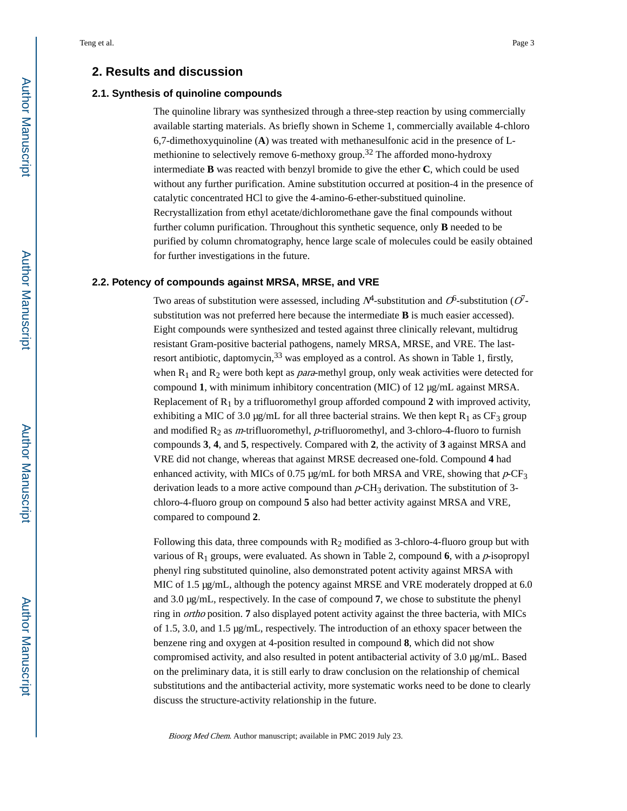## **2. Results and discussion**

#### **2.1. Synthesis of quinoline compounds**

The quinoline library was synthesized through a three-step reaction by using commercially available starting materials. As briefly shown in Scheme 1, commercially available 4-chloro 6,7-dimethoxyquinoline (**A**) was treated with methanesulfonic acid in the presence of Lmethionine to selectively remove 6-methoxy group.<sup>32</sup> The afforded mono-hydroxy intermediate **B** was reacted with benzyl bromide to give the ether **C**, which could be used without any further purification. Amine substitution occurred at position-4 in the presence of catalytic concentrated HCl to give the 4-amino-6-ether-substitued quinoline. Recrystallization from ethyl acetate/dichloromethane gave the final compounds without further column purification. Throughout this synthetic sequence, only **B** needed to be purified by column chromatography, hence large scale of molecules could be easily obtained for further investigations in the future.

#### **2.2. Potency of compounds against MRSA, MRSE, and VRE**

Two areas of substitution were assessed, including  $N^4$ -substitution and  $O^6$ -substitution ( $O^7$ substitution was not preferred here because the intermediate **B** is much easier accessed). Eight compounds were synthesized and tested against three clinically relevant, multidrug resistant Gram-positive bacterial pathogens, namely MRSA, MRSE, and VRE. The lastresort antibiotic, daptomycin,  $33$  was employed as a control. As shown in Table 1, firstly, when  $R_1$  and  $R_2$  were both kept as *para*-methyl group, only weak activities were detected for compound **1**, with minimum inhibitory concentration (MIC) of 12 μg/mL against MRSA. Replacement of  $R_1$  by a trifluoromethyl group afforded compound 2 with improved activity, exhibiting a MIC of 3.0  $\mu$ g/mL for all three bacterial strains. We then kept R<sub>1</sub> as CF<sub>3</sub> group and modified  $R_2$  as *m*-trifluoromethyl, *p*-trifluoromethyl, and 3-chloro-4-fluoro to furnish compounds **3**, **4**, and **5**, respectively. Compared with **2**, the activity of **3** against MRSA and VRE did not change, whereas that against MRSE decreased one-fold. Compound **4** had enhanced activity, with MICs of 0.75  $\mu$ g/mL for both MRSA and VRE, showing that  $p$ -CF<sub>3</sub> derivation leads to a more active compound than  $p\text{-CH}_3$  derivation. The substitution of 3chloro-4-fluoro group on compound **5** also had better activity against MRSA and VRE, compared to compound **2**.

Following this data, three compounds with  $R_2$  modified as 3-chloro-4-fluoro group but with various of  $R_1$  groups, were evaluated. As shown in Table 2, compound **6**, with a *p*-isopropyl phenyl ring substituted quinoline, also demonstrated potent activity against MRSA with MIC of 1.5 μg/mL, although the potency against MRSE and VRE moderately dropped at 6.0 and 3.0 μg/mL, respectively. In the case of compound **7**, we chose to substitute the phenyl ring in ortho position. **7** also displayed potent activity against the three bacteria, with MICs of 1.5, 3.0, and 1.5 μg/mL, respectively. The introduction of an ethoxy spacer between the benzene ring and oxygen at 4-position resulted in compound **8**, which did not show compromised activity, and also resulted in potent antibacterial activity of 3.0 μg/mL. Based on the preliminary data, it is still early to draw conclusion on the relationship of chemical substitutions and the antibacterial activity, more systematic works need to be done to clearly discuss the structure-activity relationship in the future.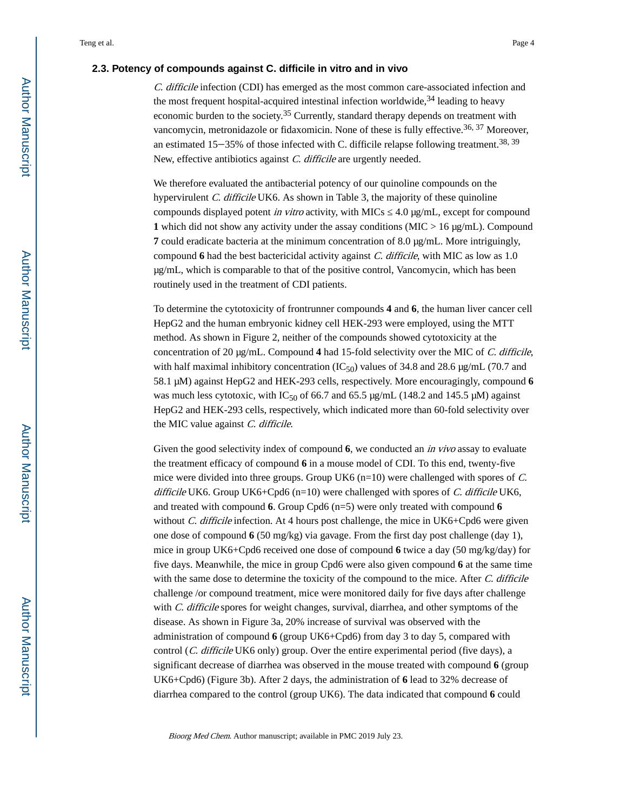#### **2.3. Potency of compounds against C. difficile in vitro and in vivo**

C. difficile infection (CDI) has emerged as the most common care-associated infection and the most frequent hospital-acquired intestinal infection worldwide,  $34$  leading to heavy economic burden to the society.35 Currently, standard therapy depends on treatment with vancomycin, metronidazole or fidaxomicin. None of these is fully effective.<sup>36, 37</sup> Moreover, an estimated 15–35% of those infected with C. difficile relapse following treatment.<sup>38, 39</sup> New, effective antibiotics against *C. difficile* are urgently needed.

We therefore evaluated the antibacterial potency of our quinoline compounds on the hypervirulent C. difficile UK6. As shown in Table 3, the majority of these quinoline compounds displayed potent *in vitro* activity, with MICs  $\frac{4.0 \text{ µg/mL}}{4.0 \text{ µg/mL}}$ , except for compound **1** which did not show any activity under the assay conditions (MIC  $> 16 \mu g/mL$ ). Compound **7** could eradicate bacteria at the minimum concentration of 8.0 μg/mL. More intriguingly, compound **6** had the best bactericidal activity against C. difficile, with MIC as low as 1.0 μg/mL, which is comparable to that of the positive control, Vancomycin, which has been routinely used in the treatment of CDI patients.

To determine the cytotoxicity of frontrunner compounds **4** and **6**, the human liver cancer cell HepG2 and the human embryonic kidney cell HEK-293 were employed, using the MTT method. As shown in Figure 2, neither of the compounds showed cytotoxicity at the concentration of 20 μg/mL. Compound **4** had 15-fold selectivity over the MIC of C. difficile, with half maximal inhibitory concentration  $(IC_{50})$  values of 34.8 and 28.6 μg/mL (70.7 and 58.1 μM) against HepG2 and HEK-293 cells, respectively. More encouragingly, compound **6**  was much less cytotoxic, with IC<sub>50</sub> of 66.7 and 65.5 μg/mL (148.2 and 145.5 μM) against HepG2 and HEK-293 cells, respectively, which indicated more than 60-fold selectivity over the MIC value against C. difficile.

Given the good selectivity index of compound **6**, we conducted an *in vivo* assay to evaluate the treatment efficacy of compound **6** in a mouse model of CDI. To this end, twenty-five mice were divided into three groups. Group UK6  $(n=10)$  were challenged with spores of C. difficile UK6. Group UK6+Cpd6 (n=10) were challenged with spores of  $C$ . difficile UK6, and treated with compound **6**. Group Cpd6 (n=5) were only treated with compound **6**  without *C. difficile* infection. At 4 hours post challenge, the mice in UK6+Cpd6 were given one dose of compound **6** (50 mg/kg) via gavage. From the first day post challenge (day 1), mice in group UK6+Cpd6 received one dose of compound **6** twice a day (50 mg/kg/day) for five days. Meanwhile, the mice in group Cpd6 were also given compound **6** at the same time with the same dose to determine the toxicity of the compound to the mice. After C. difficile challenge /or compound treatment, mice were monitored daily for five days after challenge with C. difficile spores for weight changes, survival, diarrhea, and other symptoms of the disease. As shown in Figure 3a, 20% increase of survival was observed with the administration of compound **6** (group UK6+Cpd6) from day 3 to day 5, compared with control (*C. difficile* UK6 only) group. Over the entire experimental period (five days), a significant decrease of diarrhea was observed in the mouse treated with compound **6** (group UK6+Cpd6) (Figure 3b). After 2 days, the administration of **6** lead to 32% decrease of diarrhea compared to the control (group UK6). The data indicated that compound **6** could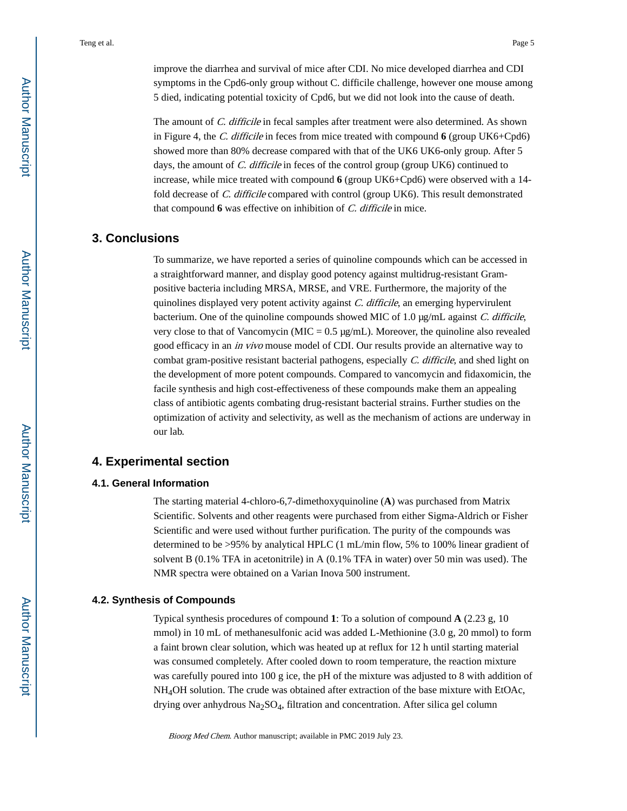improve the diarrhea and survival of mice after CDI. No mice developed diarrhea and CDI symptoms in the Cpd6-only group without C. difficile challenge, however one mouse among 5 died, indicating potential toxicity of Cpd6, but we did not look into the cause of death.

The amount of *C. difficile* in fecal samples after treatment were also determined. As shown in Figure 4, the C. difficile in feces from mice treated with compound **6** (group UK6+Cpd6) showed more than 80% decrease compared with that of the UK6 UK6-only group. After 5 days, the amount of C. difficile in feces of the control group (group UK6) continued to increase, while mice treated with compound **6** (group UK6+Cpd6) were observed with a 14 fold decrease of C. difficile compared with control (group UK6). This result demonstrated that compound **6** was effective on inhibition of C. difficile in mice.

## **3. Conclusions**

To summarize, we have reported a series of quinoline compounds which can be accessed in a straightforward manner, and display good potency against multidrug-resistant Grampositive bacteria including MRSA, MRSE, and VRE. Furthermore, the majority of the quinolines displayed very potent activity against C. difficile, an emerging hypervirulent bacterium. One of the quinoline compounds showed MIC of 1.0  $\mu$ g/mL against *C. difficile*, very close to that of Vancomycin (MIC = 0.5 μg/mL). Moreover, the quinoline also revealed good efficacy in an in vivo mouse model of CDI. Our results provide an alternative way to combat gram-positive resistant bacterial pathogens, especially  $C$ . difficile, and shed light on the development of more potent compounds. Compared to vancomycin and fidaxomicin, the facile synthesis and high cost-effectiveness of these compounds make them an appealing class of antibiotic agents combating drug-resistant bacterial strains. Further studies on the optimization of activity and selectivity, as well as the mechanism of actions are underway in our lab.

# **4. Experimental section**

## **4.1. General Information**

The starting material 4-chloro-6,7-dimethoxyquinoline (**A**) was purchased from Matrix Scientific. Solvents and other reagents were purchased from either Sigma-Aldrich or Fisher Scientific and were used without further purification. The purity of the compounds was determined to be >95% by analytical HPLC (1 mL/min flow, 5% to 100% linear gradient of solvent B (0.1% TFA in acetonitrile) in A (0.1% TFA in water) over 50 min was used). The NMR spectra were obtained on a Varian Inova 500 instrument.

## **4.2. Synthesis of Compounds**

Typical synthesis procedures of compound **1**: To a solution of compound **A** (2.23 g, 10 mmol) in 10 mL of methanesulfonic acid was added L-Methionine (3.0 g, 20 mmol) to form a faint brown clear solution, which was heated up at reflux for 12 h until starting material was consumed completely. After cooled down to room temperature, the reaction mixture was carefully poured into 100 g ice, the pH of the mixture was adjusted to 8 with addition of NH4OH solution. The crude was obtained after extraction of the base mixture with EtOAc, drying over anhydrous  $Na<sub>2</sub>SO<sub>4</sub>$ , filtration and concentration. After silica gel column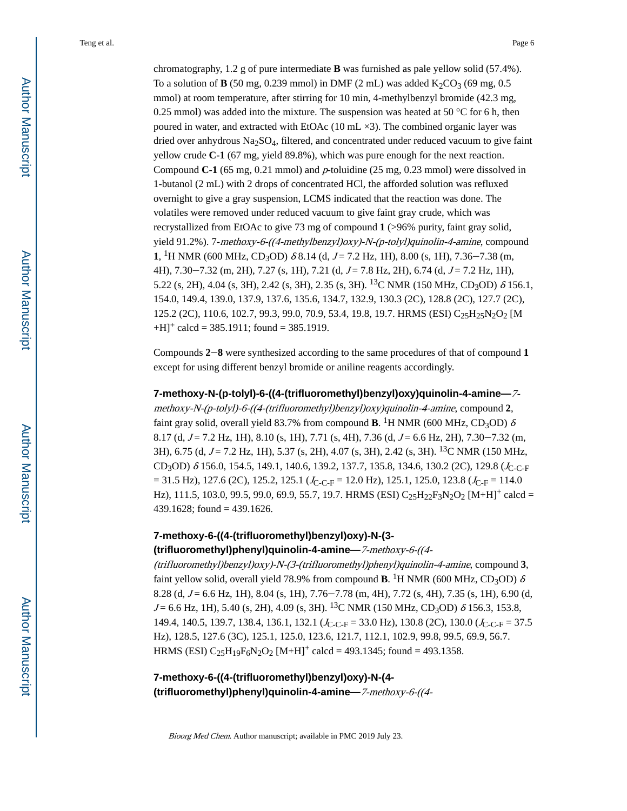chromatography, 1.2 g of pure intermediate **B** was furnished as pale yellow solid (57.4%). To a solution of **B** (50 mg, 0.239 mmol) in DMF (2 mL) was added  $K_2CO_3$  (69 mg, 0.5 mmol) at room temperature, after stirring for 10 min, 4-methylbenzyl bromide (42.3 mg, 0.25 mmol) was added into the mixture. The suspension was heated at 50  $^{\circ}$ C for 6 h, then poured in water, and extracted with EtOAc  $(10 \text{ mL} \times 3)$ . The combined organic layer was dried over anhydrous  $Na<sub>2</sub>SO<sub>4</sub>$ , filtered, and concentrated under reduced vacuum to give faint yellow crude **C-1** (67 mg, yield 89.8%), which was pure enough for the next reaction. Compound **C-1** (65 mg, 0.21 mmol) and p-toluidine (25 mg, 0.23 mmol) were dissolved in 1-butanol (2 mL) with 2 drops of concentrated HCl, the afforded solution was refluxed overnight to give a gray suspension, LCMS indicated that the reaction was done. The volatiles were removed under reduced vacuum to give faint gray crude, which was recrystallized from EtOAc to give 73 mg of compound **1** (>96% purity, faint gray solid, yield 91.2%). 7-methoxy-6-((4-methylbenzyl)oxy)-N-(p-tolyl)quinolin-4-amine, compound **1**, <sup>1</sup>H NMR (600 MHz, CD<sub>3</sub>OD)  $\delta$  8.14 (d, J = 7.2 Hz, 1H), 8.00 (s, 1H), 7.36–7.38 (m, 4H),  $7.30 - 7.32$  (m, 2H),  $7.27$  (s, 1H),  $7.21$  (d,  $J = 7.8$  Hz, 2H),  $6.74$  (d,  $J = 7.2$  Hz, 1H), 5.22 (s, 2H), 4.04 (s, 3H), 2.42 (s, 3H), 2.35 (s, 3H). <sup>13</sup>C NMR (150 MHz, CD<sub>3</sub>OD)  $\delta$  156.1, 154.0, 149.4, 139.0, 137.9, 137.6, 135.6, 134.7, 132.9, 130.3 (2C), 128.8 (2C), 127.7 (2C), 125.2 (2C), 110.6, 102.7, 99.3, 99.0, 70.9, 53.4, 19.8, 19.7. HRMS (ESI) C<sub>25</sub>H<sub>25</sub>N<sub>2</sub>O<sub>2</sub> [M  $+H$ <sup>+</sup> calcd = 385.1911; found = 385.1919.

Compounds **2**‒**8** were synthesized according to the same procedures of that of compound **1**  except for using different benzyl bromide or aniline reagents accordingly.

**7-methoxy-N-(p-tolyl)-6-((4-(trifluoromethyl)benzyl)oxy)quinolin-4-amine—**7-

methoxy-N-(p-tolyl)-6-((4-(trifluoromethyl)benzyl)oxy)quinolin-4-amine, compound **2**, faint gray solid, overall yield 83.7% from compound  $\mathbf{B}$ . <sup>1</sup>H NMR (600 MHz, CD<sub>3</sub>OD)  $\delta$ 8.17 (d,  $J = 7.2$  Hz, 1H), 8.10 (s, 1H), 7.71 (s, 4H), 7.36 (d,  $J = 6.6$  Hz, 2H), 7.30–7.32 (m, 3H), 6.75 (d, J = 7.2 Hz, 1H), 5.37 (s, 2H), 4.07 (s, 3H), 2.42 (s, 3H). <sup>13</sup>C NMR (150 MHz, CD<sub>3</sub>OD)  $\delta$  156.0, 154.5, 149.1, 140.6, 139.2, 137.7, 135.8, 134.6, 130.2 (2C), 129.8 (J<sub>C-C-F</sub>  $= 31.5$  Hz), 127.6 (2C), 125.2, 125.1 ( $J_{C-C-F} = 12.0$  Hz), 125.1, 125.0, 123.8 ( $J_{C-F} = 114.0$ Hz), 111.5, 103.0, 99.5, 99.0, 69.9, 55.7, 19.7. HRMS (ESI)  $C_{25}H_{22}F_{3}N_{2}O_{2}$  [M+H]<sup>+</sup> calcd = 439.1628; found = 439.1626.

# **7-methoxy-6-((4-(trifluoromethyl)benzyl)oxy)-N-(3-**

#### **(trifluoromethyl)phenyl)quinolin-4-amine—**7-methoxy-6-((4-

(trifluoromethyl)benzyl)oxy)-N-(3-(trifluoromethyl)phenyl)quinolin-4-amine, compound **3**, faint yellow solid, overall yield 78.9% from compound **B**. <sup>1</sup>H NMR (600 MHz, CD<sub>3</sub>OD)  $\delta$ 8.28 (d,  $J = 6.6$  Hz, 1H), 8.04 (s, 1H), 7.76–7.78 (m, 4H), 7.72 (s, 4H), 7.35 (s, 1H), 6.90 (d,  $J = 6.6$  Hz, 1H), 5.40 (s, 2H), 4.09 (s, 3H). <sup>13</sup>C NMR (150 MHz, CD<sub>3</sub>OD)  $\delta$  156.3, 153.8, 149.4, 140.5, 139.7, 138.4, 136.1, 132.1 ( $J_{C-C-F}$  = 33.0 Hz), 130.8 (2C), 130.0 ( $J_{C-C-F}$  = 37.5 Hz), 128.5, 127.6 (3C), 125.1, 125.0, 123.6, 121.7, 112.1, 102.9, 99.8, 99.5, 69.9, 56.7. HRMS (ESI)  $C_{25}H_{19}F_{6}N_{2}O_{2}$  [M+H]<sup>+</sup> calcd = 493.1345; found = 493.1358.

**7-methoxy-6-((4-(trifluoromethyl)benzyl)oxy)-N-(4- (trifluoromethyl)phenyl)quinolin-4-amine—**7-methoxy-6-((4-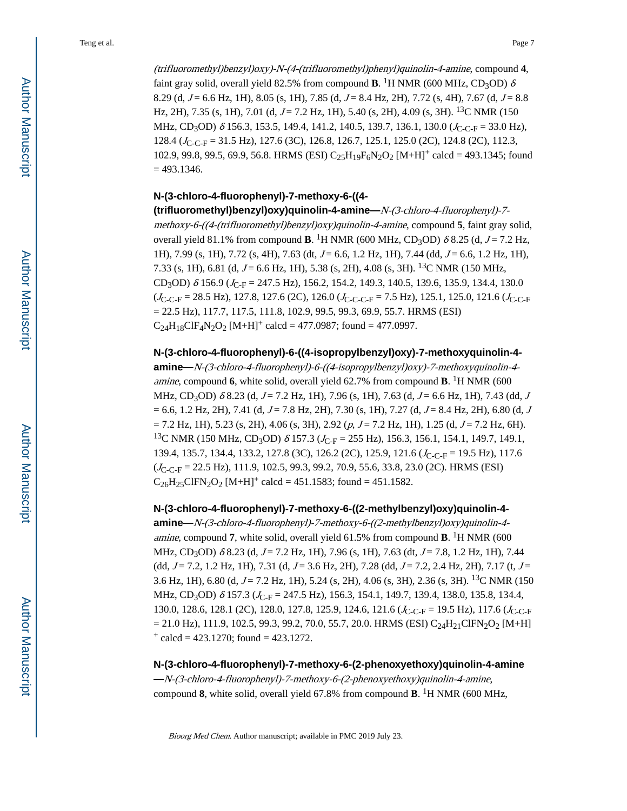(trifluoromethyl)benzyl)oxy)-N-(4-(trifluoromethyl)phenyl)quinolin-4-amine, compound **4**, faint gray solid, overall yield 82.5% from compound  $\mathbf{B}$ . <sup>1</sup>H NMR (600 MHz, CD<sub>3</sub>OD)  $\delta$ 8.29 (d,  $J = 6.6$  Hz, 1H), 8.05 (s, 1H), 7.85 (d,  $J = 8.4$  Hz, 2H), 7.72 (s, 4H), 7.67 (d,  $J = 8.8$ Hz, 2H), 7.35 (s, 1H), 7.01 (d,  $J = 7.2$  Hz, 1H), 5.40 (s, 2H), 4.09 (s, 3H). <sup>13</sup>C NMR (150 MHz, CD<sub>3</sub>OD)  $\delta$  156.3, 153.5, 149.4, 141.2, 140.5, 139.7, 136.1, 130.0 ( $J_{\text{C-C-F}}$  = 33.0 Hz), 128.4 (J<sub>C-C-F</sub> = 31.5 Hz), 127.6 (3C), 126.8, 126.7, 125.1, 125.0 (2C), 124.8 (2C), 112.3, 102.9, 99.8, 99.5, 69.9, 56.8. HRMS (ESI) C<sub>25</sub>H<sub>19</sub>F<sub>6</sub>N<sub>2</sub>O<sub>2</sub> [M+H]<sup>+</sup> calcd = 493.1345; found  $= 493.1346.$ 

## **N-(3-chloro-4-fluorophenyl)-7-methoxy-6-((4-**

**(trifluoromethyl)benzyl)oxy)quinolin-4-amine—**N-(3-chloro-4-fluorophenyl)-7 methoxy-6-((4-(trifluoromethyl)benzyl)oxy)quinolin-4-amine, compound **5**, faint gray solid, overall yield 81.1% from compound **B**. <sup>1</sup>H NMR (600 MHz, CD<sub>3</sub>OD)  $\delta$  8.25 (d, J = 7.2 Hz, 1H), 7.99 (s, 1H), 7.72 (s, 4H), 7.63 (dt,  $J = 6.6$ , 1.2 Hz, 1H), 7.44 (dd,  $J = 6.6$ , 1.2 Hz, 1H), 7.33 (s, 1H), 6.81 (d,  $J = 6.6$  Hz, 1H), 5.38 (s, 2H), 4.08 (s, 3H). <sup>13</sup>C NMR (150 MHz, CD<sub>3</sub>OD)  $\delta$  156.9 ( $J_{\text{C-F}}$  = 247.5 Hz), 156.2, 154.2, 149.3, 140.5, 139.6, 135.9, 134.4, 130.0  $(J_{C-C-F} = 28.5 \text{ Hz})$ , 127.8, 127.6 (2C), 126.0 ( $J_{C-C-C-F} = 7.5 \text{ Hz}$ ), 125.1, 125.0, 121.6 ( $J_{C-C-F}$  $= 22.5$  Hz), 117.7, 117.5, 111.8, 102.9, 99.5, 99.3, 69.9, 55.7. HRMS (ESI)  $C_{24}H_{18}CIF_4N_2O_2$  [M+H]<sup>+</sup> calcd = 477.0987; found = 477.0997.

#### **N-(3-chloro-4-fluorophenyl)-6-((4-isopropylbenzyl)oxy)-7-methoxyquinolin-4-**

**amine—**N-(3-chloro-4-fluorophenyl)-6-((4-isopropylbenzyl)oxy)-7-methoxyquinolin-4 amine, compound **6**, white solid, overall yield 62.7% from compound **B**. <sup>1</sup>H NMR (600 MHz, CD<sub>3</sub>OD)  $\delta$  8.23 (d, J = 7.2 Hz, 1H), 7.96 (s, 1H), 7.63 (d, J = 6.6 Hz, 1H), 7.43 (dd, J  $= 6.6, 1.2$  Hz, 2H), 7.41 (d, J = 7.8 Hz, 2H), 7.30 (s, 1H), 7.27 (d, J = 8.4 Hz, 2H), 6.80 (d, J  $= 7.2$  Hz, 1H), 5.23 (s, 2H), 4.06 (s, 3H), 2.92 (p,  $J = 7.2$  Hz, 1H), 1.25 (d,  $J = 7.2$  Hz, 6H). <sup>13</sup>C NMR (150 MHz, CD<sub>3</sub>OD)  $\delta$  157.3 ( $J_{\text{C-F}}$  = 255 Hz), 156.3, 156.1, 154.1, 149.7, 149.1, 139.4, 135.7, 134.4, 133.2, 127.8 (3C), 126.2 (2C), 125.9, 121.6 ( $J_{C-C-F}$  = 19.5 Hz), 117.6  $(J_{C-C-F} = 22.5 \text{ Hz})$ , 111.9, 102.5, 99.3, 99.2, 70.9, 55.6, 33.8, 23.0 (2C). HRMS (ESI)  $C_{26}H_{25}CIFN_2O_2$  [M+H]<sup>+</sup> calcd = 451.1583; found = 451.1582.

#### **N-(3-chloro-4-fluorophenyl)-7-methoxy-6-((2-methylbenzyl)oxy)quinolin-4-**

**amine—**N-(3-chloro-4-fluorophenyl)-7-methoxy-6-((2-methylbenzyl)oxy)quinolin-4 amine, compound 7, white solid, overall yield 61.5% from compound **B**. <sup>1</sup>H NMR (600 MHz, CD<sub>3</sub>OD)  $\delta$  8.23 (d, J = 7.2 Hz, 1H), 7.96 (s, 1H), 7.63 (dt, J = 7.8, 1.2 Hz, 1H), 7.44 (dd,  $J = 7.2$ , 1.2 Hz, 1H), 7.31 (d,  $J = 3.6$  Hz, 2H), 7.28 (dd,  $J = 7.2$ , 2.4 Hz, 2H), 7.17 (t,  $J =$ 3.6 Hz, 1H), 6.80 (d, J = 7.2 Hz, 1H), 5.24 (s, 2H), 4.06 (s, 3H), 2.36 (s, 3H). <sup>13</sup>C NMR (150 MHz, CD<sub>3</sub>OD)  $\delta$  157.3 ( $J_{C-F}$  = 247.5 Hz), 156.3, 154.1, 149.7, 139.4, 138.0, 135.8, 134.4, 130.0, 128.6, 128.1 (2C), 128.0, 127.8, 125.9, 124.6, 121.6 ( $J_{C-C-F}$  = 19.5 Hz), 117.6 ( $J_{C-C-F}$  $= 21.0$  Hz), 111.9, 102.5, 99.3, 99.2, 70.0, 55.7, 20.0. HRMS (ESI) C<sub>24</sub>H<sub>21</sub>ClFN<sub>2</sub>O<sub>2</sub> [M+H]  $\text{+}$  calcd = 423.1270; found = 423.1272.

# **N-(3-chloro-4-fluorophenyl)-7-methoxy-6-(2-phenoxyethoxy)quinolin-4-amine —**N-(3-chloro-4-fluorophenyl)-7-methoxy-6-(2-phenoxyethoxy)quinolin-4-amine, compound **8**, white solid, overall yield 67.8% from compound **B**. <sup>1</sup>H NMR (600 MHz,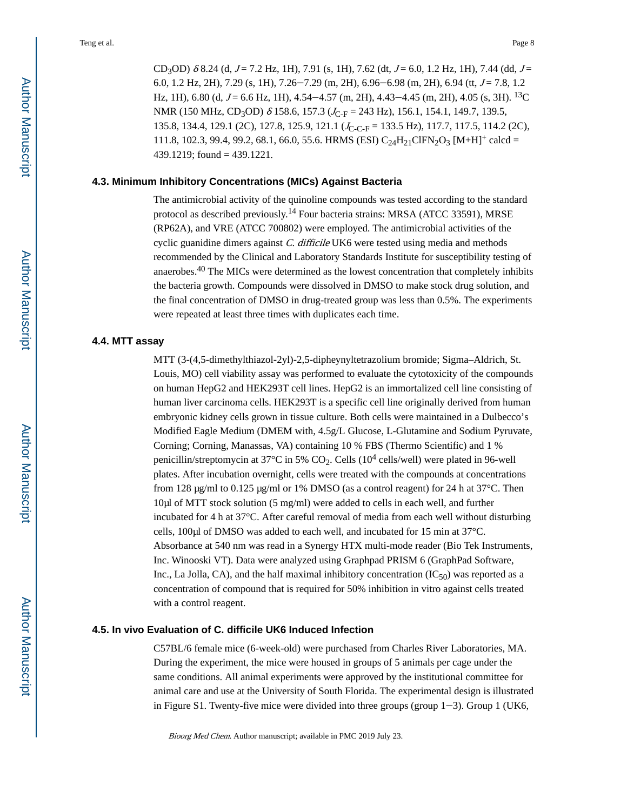CD<sub>3</sub>OD)  $\delta$  8.24 (d, J = 7.2 Hz, 1H), 7.91 (s, 1H), 7.62 (dt, J = 6.0, 1.2 Hz, 1H), 7.44 (dd, J = 6.0, 1.2 Hz, 2H), 7.29 (s, 1H), 7.26–7.29 (m, 2H), 6.96–6.98 (m, 2H), 6.94 (tt,  $J = 7.8$ , 1.2 Hz, 1H), 6.80 (d,  $J = 6.6$  Hz, 1H), 4.54–4.57 (m, 2H), 4.43–4.45 (m, 2H), 4.05 (s, 3H). <sup>13</sup>C NMR (150 MHz, CD<sub>3</sub>OD) δ 158.6, 157.3 ( $J_{C-F}$  = 243 Hz), 156.1, 154.1, 149.7, 139.5, 135.8, 134.4, 129.1 (2C), 127.8, 125.9, 121.1 ( $J_{\text{C-C-F}}$  = 133.5 Hz), 117.7, 117.5, 114.2 (2C), 111.8, 102.3, 99.4, 99.2, 68.1, 66.0, 55.6. HRMS (ESI)  $C_{24}H_{21}CIFN_2O_3 [M+H]^+$  calcd = 439.1219; found = 439.1221.

#### **4.3. Minimum Inhibitory Concentrations (MICs) Against Bacteria**

The antimicrobial activity of the quinoline compounds was tested according to the standard protocol as described previously.14 Four bacteria strains: MRSA (ATCC 33591), MRSE (RP62A), and VRE (ATCC 700802) were employed. The antimicrobial activities of the cyclic guanidine dimers against C. difficile UK6 were tested using media and methods recommended by the Clinical and Laboratory Standards Institute for susceptibility testing of anaerobes.40 The MICs were determined as the lowest concentration that completely inhibits the bacteria growth. Compounds were dissolved in DMSO to make stock drug solution, and the final concentration of DMSO in drug-treated group was less than 0.5%. The experiments were repeated at least three times with duplicates each time.

#### **4.4. MTT assay**

MTT (3-(4,5-dimethylthiazol-2yl)-2,5-dipheynyltetrazolium bromide; Sigma–Aldrich, St. Louis, MO) cell viability assay was performed to evaluate the cytotoxicity of the compounds on human HepG2 and HEK293T cell lines. HepG2 is an immortalized cell line consisting of human liver carcinoma cells. HEK293T is a specific cell line originally derived from human embryonic kidney cells grown in tissue culture. Both cells were maintained in a Dulbecco's Modified Eagle Medium (DMEM with, 4.5g/L Glucose, L-Glutamine and Sodium Pyruvate, Corning; Corning, Manassas, VA) containing 10 % FBS (Thermo Scientific) and 1 % penicillin/streptomycin at 37 $^{\circ}$ C in 5% CO<sub>2</sub>. Cells (10<sup>4</sup> cells/well) were plated in 96-well plates. After incubation overnight, cells were treated with the compounds at concentrations from 128 μg/ml to 0.125 μg/ml or 1% DMSO (as a control reagent) for 24 h at 37°C. Then 10μl of MTT stock solution (5 mg/ml) were added to cells in each well, and further incubated for 4 h at 37°C. After careful removal of media from each well without disturbing cells, 100μl of DMSO was added to each well, and incubated for 15 min at 37°C. Absorbance at 540 nm was read in a Synergy HTX multi-mode reader (Bio Tek Instruments, Inc. Winooski VT). Data were analyzed using Graphpad PRISM 6 (GraphPad Software, Inc., La Jolla, CA), and the half maximal inhibitory concentration  $(IC_{50})$  was reported as a concentration of compound that is required for 50% inhibition in vitro against cells treated with a control reagent.

#### **4.5. In vivo Evaluation of C. difficile UK6 Induced Infection**

C57BL/6 female mice (6-week-old) were purchased from Charles River Laboratories, MA. During the experiment, the mice were housed in groups of 5 animals per cage under the same conditions. All animal experiments were approved by the institutional committee for animal care and use at the University of South Florida. The experimental design is illustrated in Figure S1. Twenty-five mice were divided into three groups (group  $1-3$ ). Group 1 (UK6,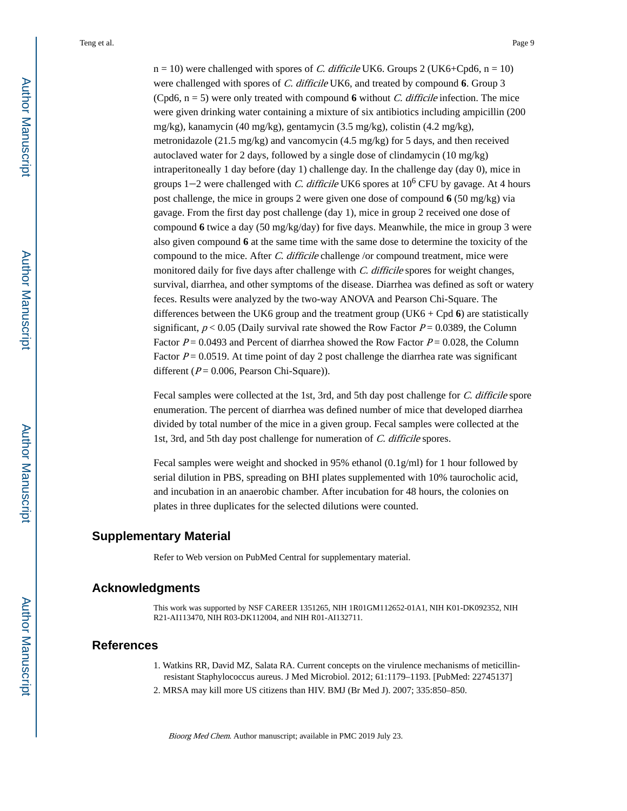$n = 10$ ) were challenged with spores of *C. difficile* UK6. Groups 2 (UK6+Cpd6,  $n = 10$ ) were challenged with spores of C. difficile UK6, and treated by compound **6**. Group 3 (Cpd6,  $n = 5$ ) were only treated with compound 6 without *C. difficile* infection. The mice were given drinking water containing a mixture of six antibiotics including ampicillin (200 mg/kg), kanamycin (40 mg/kg), gentamycin (3.5 mg/kg), colistin (4.2 mg/kg), metronidazole (21.5 mg/kg) and vancomycin (4.5 mg/kg) for 5 days, and then received autoclaved water for 2 days, followed by a single dose of clindamycin (10 mg/kg) intraperitoneally 1 day before (day 1) challenge day. In the challenge day (day 0), mice in groups  $1-2$  were challenged with *C. difficile* UK6 spores at  $10^6$  CFU by gavage. At 4 hours post challenge, the mice in groups 2 were given one dose of compound **6** (50 mg/kg) via gavage. From the first day post challenge (day 1), mice in group 2 received one dose of compound **6** twice a day (50 mg/kg/day) for five days. Meanwhile, the mice in group 3 were also given compound **6** at the same time with the same dose to determine the toxicity of the compound to the mice. After C. difficile challenge /or compound treatment, mice were monitored daily for five days after challenge with C. difficile spores for weight changes, survival, diarrhea, and other symptoms of the disease. Diarrhea was defined as soft or watery feces. Results were analyzed by the two-way ANOVA and Pearson Chi-Square. The differences between the UK6 group and the treatment group (UK6 + Cpd **6**) are statistically significant,  $p < 0.05$  (Daily survival rate showed the Row Factor  $P = 0.0389$ , the Column Factor  $P = 0.0493$  and Percent of diarrhea showed the Row Factor  $P = 0.028$ , the Column Factor  $P = 0.0519$ . At time point of day 2 post challenge the diarrhea rate was significant different ( $P = 0.006$ , Pearson Chi-Square)).

Fecal samples were collected at the 1st, 3rd, and 5th day post challenge for C. difficile spore enumeration. The percent of diarrhea was defined number of mice that developed diarrhea divided by total number of the mice in a given group. Fecal samples were collected at the 1st, 3rd, and 5th day post challenge for numeration of C. difficile spores.

Fecal samples were weight and shocked in 95% ethanol (0.1g/ml) for 1 hour followed by serial dilution in PBS, spreading on BHI plates supplemented with 10% taurocholic acid, and incubation in an anaerobic chamber. After incubation for 48 hours, the colonies on plates in three duplicates for the selected dilutions were counted.

## **Supplementary Material**

Refer to Web version on PubMed Central for supplementary material.

## **Acknowledgments**

This work was supported by NSF CAREER 1351265, NIH 1R01GM112652-01A1, NIH K01-DK092352, NIH R21-AI113470, NIH R03-DK112004, and NIH R01-AI132711.

## **References**

- 1. Watkins RR, David MZ, Salata RA. Current concepts on the virulence mechanisms of meticillinresistant Staphylococcus aureus. J Med Microbiol. 2012; 61:1179–1193. [PubMed: 22745137]
- 2. MRSA may kill more US citizens than HIV. BMJ (Br Med J). 2007; 335:850–850.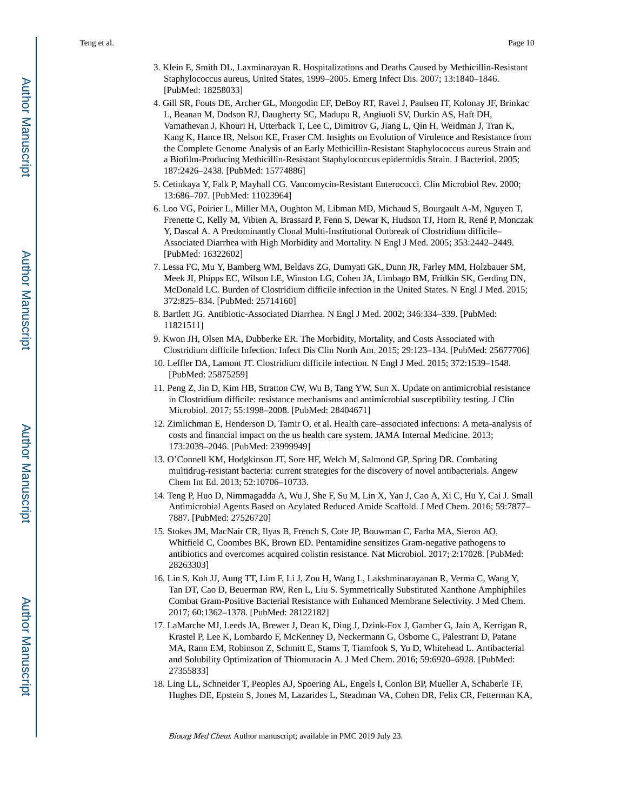- 3. Klein E, Smith DL, Laxminarayan R. Hospitalizations and Deaths Caused by Methicillin-Resistant Staphylococcus aureus, United States, 1999–2005. Emerg Infect Dis. 2007; 13:1840–1846. [PubMed: 18258033]
- 4. Gill SR, Fouts DE, Archer GL, Mongodin EF, DeBoy RT, Ravel J, Paulsen IT, Kolonay JF, Brinkac L, Beanan M, Dodson RJ, Daugherty SC, Madupu R, Angiuoli SV, Durkin AS, Haft DH, Vamathevan J, Khouri H, Utterback T, Lee C, Dimitrov G, Jiang L, Qin H, Weidman J, Tran K, Kang K, Hance IR, Nelson KE, Fraser CM. Insights on Evolution of Virulence and Resistance from the Complete Genome Analysis of an Early Methicillin-Resistant Staphylococcus aureus Strain and a Biofilm-Producing Methicillin-Resistant Staphylococcus epidermidis Strain. J Bacteriol. 2005; 187:2426–2438. [PubMed: 15774886]
- 5. Cetinkaya Y, Falk P, Mayhall CG. Vancomycin-Resistant Enterococci. Clin Microbiol Rev. 2000; 13:686–707. [PubMed: 11023964]
- 6. Loo VG, Poirier L, Miller MA, Oughton M, Libman MD, Michaud S, Bourgault A-M, Nguyen T, Frenette C, Kelly M, Vibien A, Brassard P, Fenn S, Dewar K, Hudson TJ, Horn R, René P, Monczak Y, Dascal A. A Predominantly Clonal Multi-Institutional Outbreak of Clostridium difficile– Associated Diarrhea with High Morbidity and Mortality. N Engl J Med. 2005; 353:2442–2449. [PubMed: 16322602]
- 7. Lessa FC, Mu Y, Bamberg WM, Beldavs ZG, Dumyati GK, Dunn JR, Farley MM, Holzbauer SM, Meek JI, Phipps EC, Wilson LE, Winston LG, Cohen JA, Limbago BM, Fridkin SK, Gerding DN, McDonald LC. Burden of Clostridium difficile infection in the United States. N Engl J Med. 2015; 372:825–834. [PubMed: 25714160]
- 8. Bartlett JG. Antibiotic-Associated Diarrhea. N Engl J Med. 2002; 346:334–339. [PubMed: 11821511]
- 9. Kwon JH, Olsen MA, Dubberke ER. The Morbidity, Mortality, and Costs Associated with Clostridium difficile Infection. Infect Dis Clin North Am. 2015; 29:123–134. [PubMed: 25677706]
- 10. Leffler DA, Lamont JT. Clostridium difficile infection. N Engl J Med. 2015; 372:1539–1548. [PubMed: 25875259]
- 11. Peng Z, Jin D, Kim HB, Stratton CW, Wu B, Tang YW, Sun X. Update on antimicrobial resistance in Clostridium difficile: resistance mechanisms and antimicrobial susceptibility testing. J Clin Microbiol. 2017; 55:1998–2008. [PubMed: 28404671]
- 12. Zimlichman E, Henderson D, Tamir O, et al. Health care–associated infections: A meta-analysis of costs and financial impact on the us health care system. JAMA Internal Medicine. 2013; 173:2039–2046. [PubMed: 23999949]
- 13. O'Connell KM, Hodgkinson JT, Sore HF, Welch M, Salmond GP, Spring DR. Combating multidrug-resistant bacteria: current strategies for the discovery of novel antibacterials. Angew Chem Int Ed. 2013; 52:10706–10733.
- 14. Teng P, Huo D, Nimmagadda A, Wu J, She F, Su M, Lin X, Yan J, Cao A, Xi C, Hu Y, Cai J. Small Antimicrobial Agents Based on Acylated Reduced Amide Scaffold. J Med Chem. 2016; 59:7877– 7887. [PubMed: 27526720]
- 15. Stokes JM, MacNair CR, Ilyas B, French S, Cote JP, Bouwman C, Farha MA, Sieron AO, Whitfield C, Coombes BK, Brown ED. Pentamidine sensitizes Gram-negative pathogens to antibiotics and overcomes acquired colistin resistance. Nat Microbiol. 2017; 2:17028. [PubMed: 28263303]
- 16. Lin S, Koh JJ, Aung TT, Lim F, Li J, Zou H, Wang L, Lakshminarayanan R, Verma C, Wang Y, Tan DT, Cao D, Beuerman RW, Ren L, Liu S. Symmetrically Substituted Xanthone Amphiphiles Combat Gram-Positive Bacterial Resistance with Enhanced Membrane Selectivity. J Med Chem. 2017; 60:1362–1378. [PubMed: 28122182]
- 17. LaMarche MJ, Leeds JA, Brewer J, Dean K, Ding J, Dzink-Fox J, Gamber G, Jain A, Kerrigan R, Krastel P, Lee K, Lombardo F, McKenney D, Neckermann G, Osborne C, Palestrant D, Patane MA, Rann EM, Robinson Z, Schmitt E, Stams T, Tiamfook S, Yu D, Whitehead L. Antibacterial and Solubility Optimization of Thiomuracin A. J Med Chem. 2016; 59:6920–6928. [PubMed: 27355833]
- 18. Ling LL, Schneider T, Peoples AJ, Spoering AL, Engels I, Conlon BP, Mueller A, Schaberle TF, Hughes DE, Epstein S, Jones M, Lazarides L, Steadman VA, Cohen DR, Felix CR, Fetterman KA,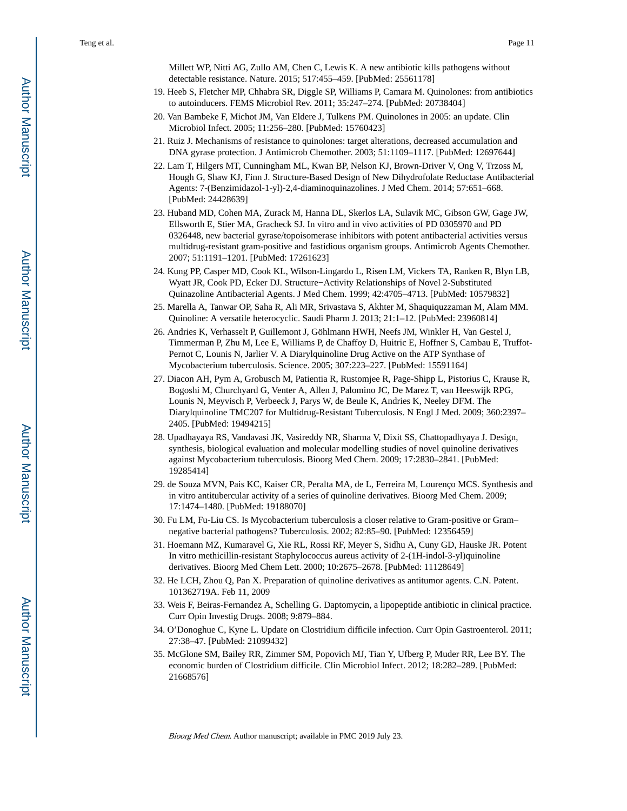Millett WP, Nitti AG, Zullo AM, Chen C, Lewis K. A new antibiotic kills pathogens without detectable resistance. Nature. 2015; 517:455–459. [PubMed: 25561178]

- 19. Heeb S, Fletcher MP, Chhabra SR, Diggle SP, Williams P, Camara M. Quinolones: from antibiotics to autoinducers. FEMS Microbiol Rev. 2011; 35:247–274. [PubMed: 20738404]
- 20. Van Bambeke F, Michot JM, Van Eldere J, Tulkens PM. Quinolones in 2005: an update. Clin Microbiol Infect. 2005; 11:256–280. [PubMed: 15760423]
- 21. Ruiz J. Mechanisms of resistance to quinolones: target alterations, decreased accumulation and DNA gyrase protection. J Antimicrob Chemother. 2003; 51:1109–1117. [PubMed: 12697644]
- 22. Lam T, Hilgers MT, Cunningham ML, Kwan BP, Nelson KJ, Brown-Driver V, Ong V, Trzoss M, Hough G, Shaw KJ, Finn J. Structure-Based Design of New Dihydrofolate Reductase Antibacterial Agents: 7-(Benzimidazol-1-yl)-2,4-diaminoquinazolines. J Med Chem. 2014; 57:651–668. [PubMed: 24428639]
- 23. Huband MD, Cohen MA, Zurack M, Hanna DL, Skerlos LA, Sulavik MC, Gibson GW, Gage JW, Ellsworth E, Stier MA, Gracheck SJ. In vitro and in vivo activities of PD 0305970 and PD 0326448, new bacterial gyrase/topoisomerase inhibitors with potent antibacterial activities versus multidrug-resistant gram-positive and fastidious organism groups. Antimicrob Agents Chemother. 2007; 51:1191–1201. [PubMed: 17261623]
- 24. Kung PP, Casper MD, Cook KL, Wilson-Lingardo L, Risen LM, Vickers TA, Ranken R, Blyn LB, Wyatt JR, Cook PD, Ecker DJ. Structure−Activity Relationships of Novel 2-Substituted Quinazoline Antibacterial Agents. J Med Chem. 1999; 42:4705–4713. [PubMed: 10579832]
- 25. Marella A, Tanwar OP, Saha R, Ali MR, Srivastava S, Akhter M, Shaquiquzzaman M, Alam MM. Quinoline: A versatile heterocyclic. Saudi Pharm J. 2013; 21:1–12. [PubMed: 23960814]
- 26. Andries K, Verhasselt P, Guillemont J, Göhlmann HWH, Neefs JM, Winkler H, Van Gestel J, Timmerman P, Zhu M, Lee E, Williams P, de Chaffoy D, Huitric E, Hoffner S, Cambau E, Truffot-Pernot C, Lounis N, Jarlier V. A Diarylquinoline Drug Active on the ATP Synthase of Mycobacterium tuberculosis. Science. 2005; 307:223–227. [PubMed: 15591164]
- 27. Diacon AH, Pym A, Grobusch M, Patientia R, Rustomjee R, Page-Shipp L, Pistorius C, Krause R, Bogoshi M, Churchyard G, Venter A, Allen J, Palomino JC, De Marez T, van Heeswijk RPG, Lounis N, Meyvisch P, Verbeeck J, Parys W, de Beule K, Andries K, Neeley DFM. The Diarylquinoline TMC207 for Multidrug-Resistant Tuberculosis. N Engl J Med. 2009; 360:2397– 2405. [PubMed: 19494215]
- 28. Upadhayaya RS, Vandavasi JK, Vasireddy NR, Sharma V, Dixit SS, Chattopadhyaya J. Design, synthesis, biological evaluation and molecular modelling studies of novel quinoline derivatives against Mycobacterium tuberculosis. Bioorg Med Chem. 2009; 17:2830–2841. [PubMed: 19285414]
- 29. de Souza MVN, Pais KC, Kaiser CR, Peralta MA, de L, Ferreira M, Lourenço MCS. Synthesis and in vitro antitubercular activity of a series of quinoline derivatives. Bioorg Med Chem. 2009; 17:1474–1480. [PubMed: 19188070]
- 30. Fu LM, Fu-Liu CS. Is Mycobacterium tuberculosis a closer relative to Gram-positive or Gram– negative bacterial pathogens? Tuberculosis. 2002; 82:85–90. [PubMed: 12356459]
- 31. Hoemann MZ, Kumaravel G, Xie RL, Rossi RF, Meyer S, Sidhu A, Cuny GD, Hauske JR. Potent In vitro methicillin-resistant Staphylococcus aureus activity of 2-(1H-indol-3-yl)quinoline derivatives. Bioorg Med Chem Lett. 2000; 10:2675–2678. [PubMed: 11128649]
- 32. He LCH, Zhou Q, Pan X. Preparation of quinoline derivatives as antitumor agents. C.N. Patent. 101362719A. Feb 11, 2009
- 33. Weis F, Beiras-Fernandez A, Schelling G. Daptomycin, a lipopeptide antibiotic in clinical practice. Curr Opin Investig Drugs. 2008; 9:879–884.
- 34. O'Donoghue C, Kyne L. Update on Clostridium difficile infection. Curr Opin Gastroenterol. 2011; 27:38–47. [PubMed: 21099432]
- 35. McGlone SM, Bailey RR, Zimmer SM, Popovich MJ, Tian Y, Ufberg P, Muder RR, Lee BY. The economic burden of Clostridium difficile. Clin Microbiol Infect. 2012; 18:282–289. [PubMed: 21668576]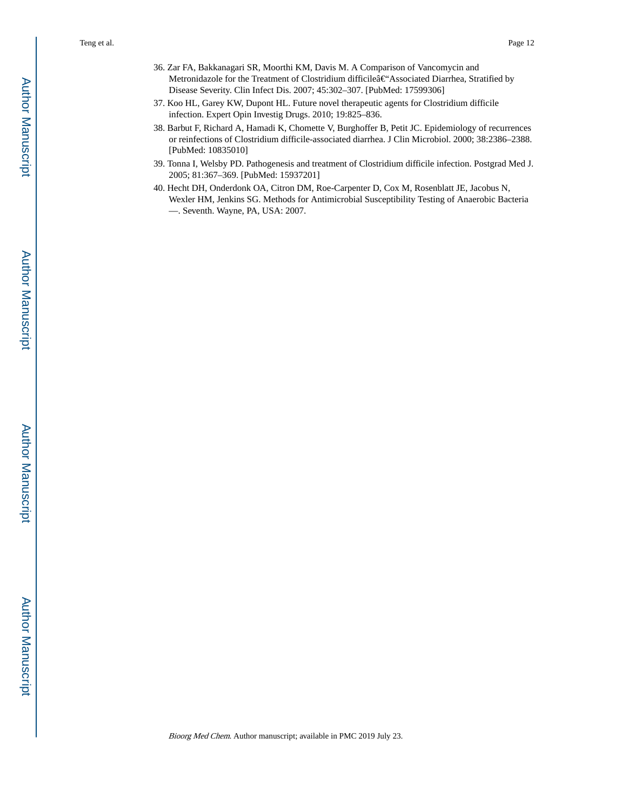- 36. Zar FA, Bakkanagari SR, Moorthi KM, Davis M. A Comparison of Vancomycin and Metronidazole for the Treatment of Clostridium difficileâ€'Associated Diarrhea, Stratified by Disease Severity. Clin Infect Dis. 2007; 45:302–307. [PubMed: 17599306]
- 37. Koo HL, Garey KW, Dupont HL. Future novel therapeutic agents for Clostridium difficile infection. Expert Opin Investig Drugs. 2010; 19:825–836.
- 38. Barbut F, Richard A, Hamadi K, Chomette V, Burghoffer B, Petit JC. Epidemiology of recurrences or reinfections of Clostridium difficile-associated diarrhea. J Clin Microbiol. 2000; 38:2386–2388. [PubMed: 10835010]
- 39. Tonna I, Welsby PD. Pathogenesis and treatment of Clostridium difficile infection. Postgrad Med J. 2005; 81:367–369. [PubMed: 15937201]
- 40. Hecht DH, Onderdonk OA, Citron DM, Roe-Carpenter D, Cox M, Rosenblatt JE, Jacobus N, Wexler HM, Jenkins SG. Methods for Antimicrobial Susceptibility Testing of Anaerobic Bacteria —. Seventh. Wayne, PA, USA: 2007.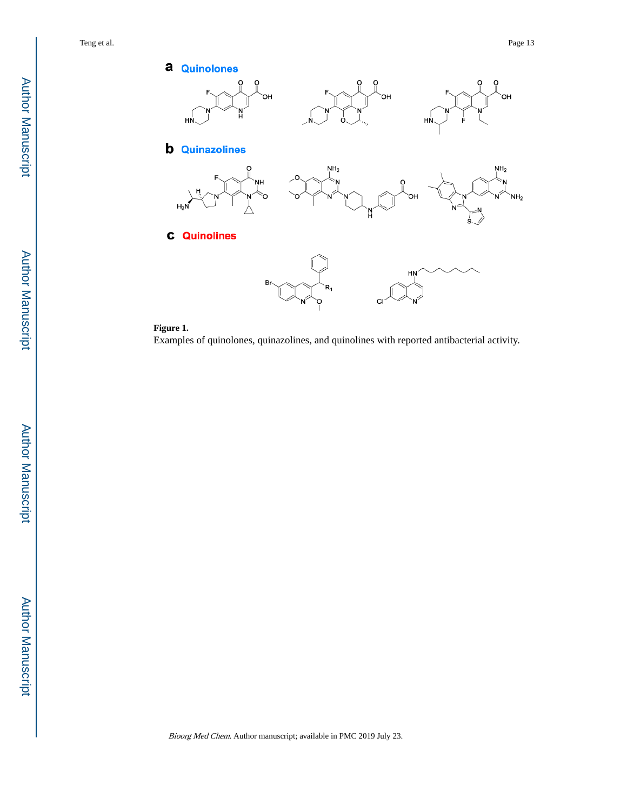DН

 $NH<sub>2</sub>$ 

 $NH<sub>2</sub>$ 



## **Figure 1.**

Examples of quinolones, quinazolines, and quinolines with reported antibacterial activity.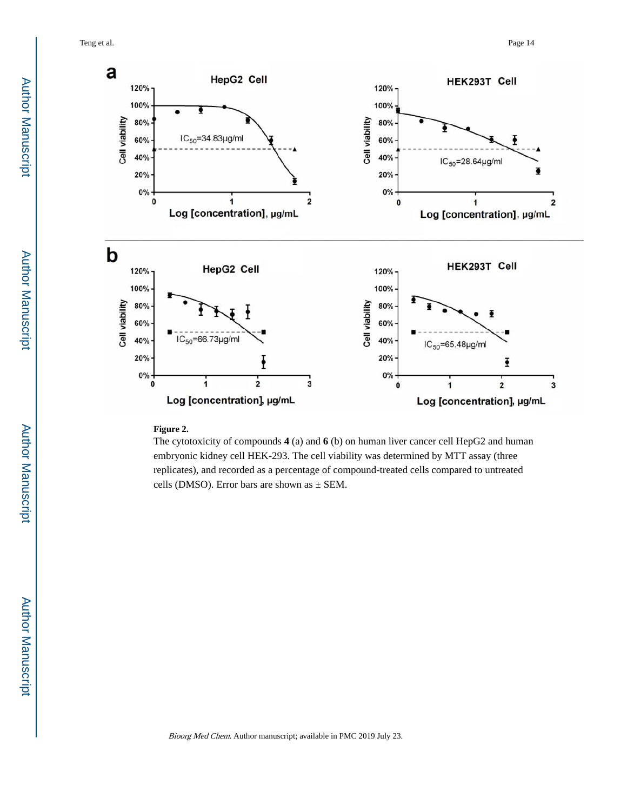Teng et al. Page 14



#### **Figure 2.**

The cytotoxicity of compounds **4** (a) and **6** (b) on human liver cancer cell HepG2 and human embryonic kidney cell HEK-293. The cell viability was determined by MTT assay (three replicates), and recorded as a percentage of compound-treated cells compared to untreated cells (DMSO). Error bars are shown as  $\pm$  SEM.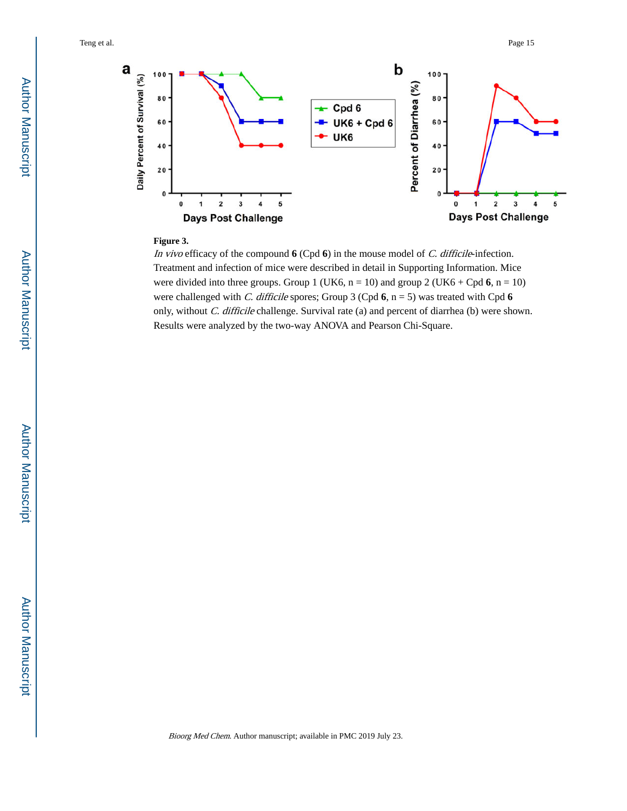

#### **Figure 3.**

In vivo efficacy of the compound **6** (Cpd **6**) in the mouse model of *C. difficile*-infection. Treatment and infection of mice were described in detail in Supporting Information. Mice were divided into three groups. Group 1 (UK6,  $n = 10$ ) and group 2 (UK6 + Cpd 6,  $n = 10$ ) were challenged with C. difficile spores; Group 3 (Cpd **6**, n = 5) was treated with Cpd **6**  only, without C. difficile challenge. Survival rate (a) and percent of diarrhea (b) were shown. Results were analyzed by the two-way ANOVA and Pearson Chi-Square.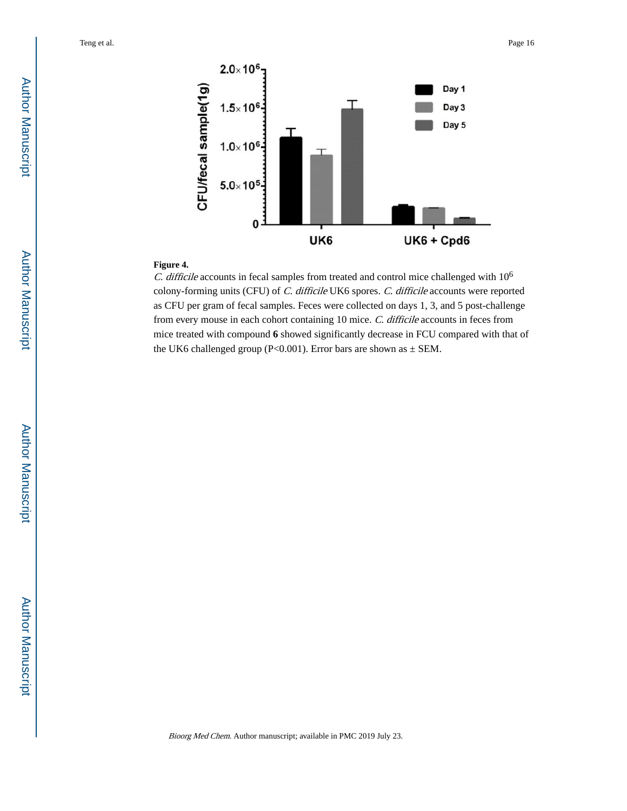

## **Figure 4.**

C. difficile accounts in fecal samples from treated and control mice challenged with  $10^6$ colony-forming units (CFU) of C. difficile UK6 spores. C. difficile accounts were reported as CFU per gram of fecal samples. Feces were collected on days 1, 3, and 5 post-challenge from every mouse in each cohort containing 10 mice. C. difficile accounts in feces from mice treated with compound **6** showed significantly decrease in FCU compared with that of the UK6 challenged group (P<0.001). Error bars are shown as  $\pm$  SEM.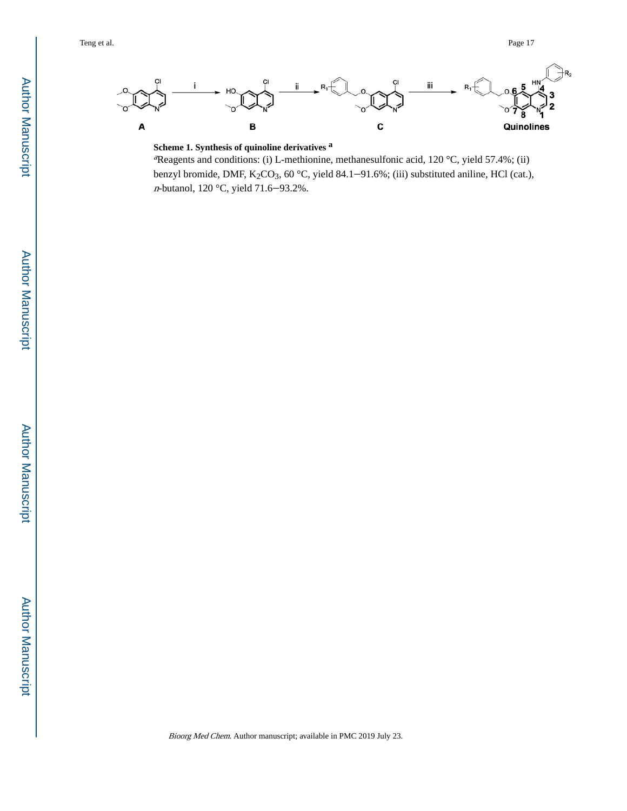

**Scheme 1. Synthesis of quinoline derivatives <sup>a</sup>**

<sup>a</sup>Reagents and conditions: (i) L-methionine, methanesulfonic acid, 120 °C, yield 57.4%; (ii) benzyl bromide, DMF,  $K_2CO_3$ , 60 °C, yield 84.1-91.6%; (iii) substituted aniline, HCl (cat.), <sup>n</sup>-butanol, 120 °C, yield 71.6‒93.2%.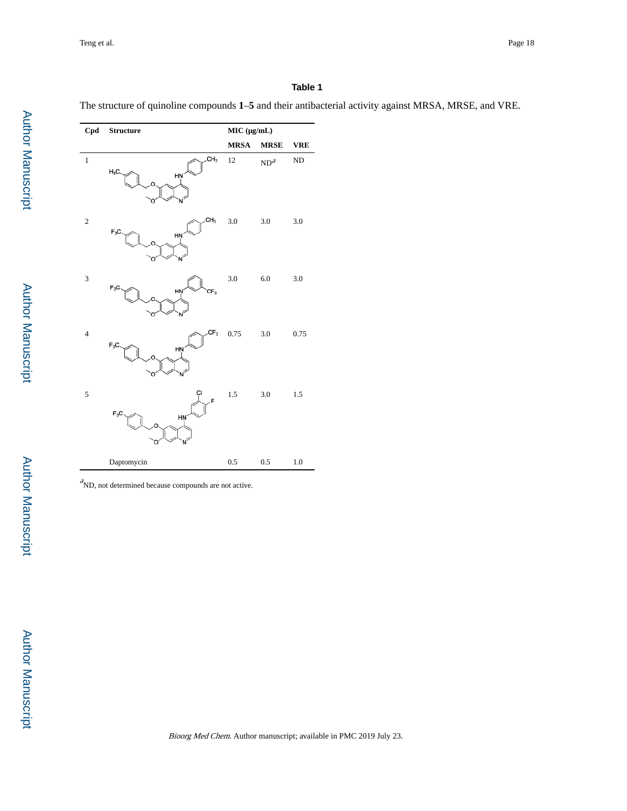## **Table 1**

The structure of quinoline compounds **1**–**5** and their antibacterial activity against MRSA, MRSE, and VRE.

| Cpd            | <b>Structure</b>                 | MIC (µg/mL) |                 |            |
|----------------|----------------------------------|-------------|-----------------|------------|
|                |                                  | <b>MRSA</b> | <b>MRSE</b>     | <b>VRE</b> |
| $\,1$          | CH <sub>3</sub><br>$H_3C$<br>HN  | 12          | ND <sup>a</sup> | ND         |
| $\sqrt{2}$     | CH <sub>3</sub><br>$F_3C$<br>HN  | 3.0         | $3.0\,$         | 3.0        |
| 3              | $F_3C$<br>HN'<br>CF <sub>3</sub> | 3.0         | 6.0             | 3.0        |
| $\overline{4}$ | $CF_3$<br>$F_3C$<br>HŅ           | 0.75        | 3.0             | 0.75       |
| 5              | CI<br>$F_3C$<br><b>HŅ</b>        | $1.5\,$     | $3.0\,$         | $1.5\,$    |
|                | Daptomycin                       | 0.5         | 0.5             | 1.0        |

 $\alpha$ ND, not determined because compounds are not active.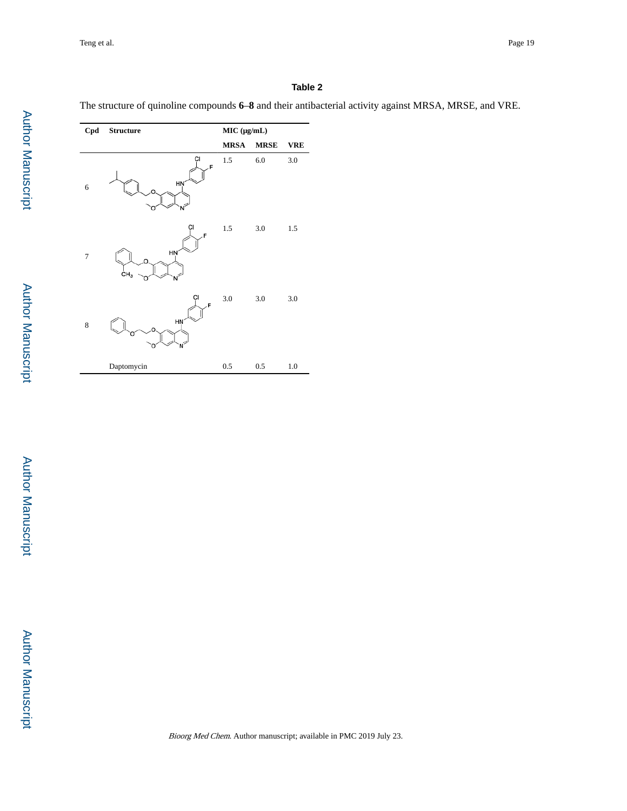## **Table 2**

The structure of quinoline compounds **6**–**8** and their antibacterial activity against MRSA, MRSE, and VRE.

| Cpd            | <b>Structure</b>                 | MIC (μg/mL) |             |            |
|----------------|----------------------------------|-------------|-------------|------------|
|                |                                  | <b>MRSA</b> | <b>MRSE</b> | <b>VRE</b> |
| 6              | Ċl<br>F<br>HŅ                    | 1.5         | $6.0\,$     | $3.0\,$    |
| $\overline{7}$ | Ċl<br>F<br>HŅ<br>CH <sub>3</sub> | $1.5\,$     | $3.0\,$     | $1.5\,$    |
| $\,$ 8 $\,$    | СI<br>F<br>HŅ                    | 3.0         | $3.0\,$     | $3.0\,$    |
|                | Daptomycin                       | 0.5         | 0.5         | $1.0\,$    |